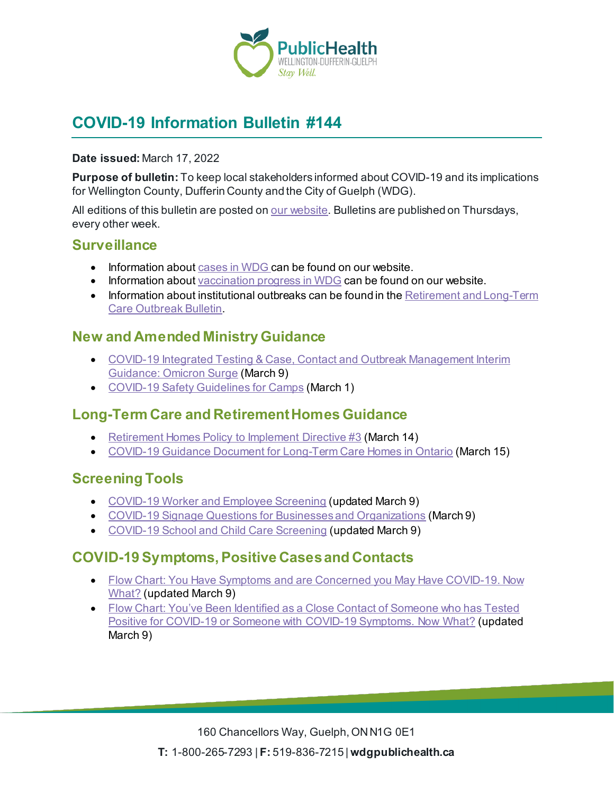

# **COVID-19 Information Bulletin #144**

#### **Date issued:** March 17, 2022

**Purpose of bulletin:** To keep local stakeholders informed about COVID-19 and its implications for Wellington County, Dufferin County and the City of Guelph (WDG).

All editions of this bulletin are posted o[n our website](https://www.wdgpublichealth.ca/your-health/covid-19-information-workplaces-and-living-spaces/community-stakeholder-bulletins). Bulletins are published on Thursdays, every other week.

### **Surveillance**

- Information about [cases in WDG](https://wdgpublichealth.ca/your-health/covid-19-information-public/status-cases-wdg) can be found on our website.
- Information abou[t vaccination progress](https://www.wdgpublichealth.ca/your-health/covid-19-information-public/covid-19-vaccine-information-public) in WDG can be found on our website.
- Information about institutional outbreaks can be found in the Retirement and Long-Term [Care Outbreak Bulletin.](https://wdgpublichealth.ca/node/1542)

### **New and Amended Ministry Guidance**

- [COVID-19 Integrated Testing & Case, Contact and Outbreak Management Interim](https://www.health.gov.on.ca/en/pro/programs/publichealth/coronavirus/docs/contact_mngmt/management_cases_contacts_omicron.pdf)  [Guidance: Omicron Surge](https://www.health.gov.on.ca/en/pro/programs/publichealth/coronavirus/docs/contact_mngmt/management_cases_contacts_omicron.pdf) (March 9)
- [COVID-19 Safety Guidelines for Camps](https://www.health.gov.on.ca/en/pro/programs/publichealth/coronavirus/docs/guidance_for_camps.pdf) (March 1)

### **Long-Term Care and Retirement Homes Guidance**

- [Retirement Homes Policy to Implement Directive #3](https://www.rhra.ca/wp-content/uploads/2022/03/RHPID-3-2022-March-14-2022-Phase-4.pdf) (March 14)
- [COVID-19 Guidance Document for Long-Term Care Homes in Ontario](https://www.ontario.ca/page/covid-19-guidance-document-long-term-care-homes-ontario) (March 15)

### **Screening Tools**

- [COVID-19 Worker and Employee Screening](https://covid-19.ontario.ca/screening/worker/) (updated March 9)
- [COVID-19 Signage Questions for Businesses and Organizations](https://www.health.gov.on.ca/en/pro/programs/publichealth/coronavirus/docs/COVID_19_bus_orgs_question_signage.pdf) (March 9)
- [COVID-19 School and Child Care Screening](https://covid-19.ontario.ca/school-screening/) (updated March 9)

### **COVID-19 Symptoms, Positive Cases and Contacts**

- Flow Chart: [You Have Symptoms and are Concerned you May Have](https://wdgpublichealth.ca/sites/default/files/you_have_symptoms_and_are_concerned_you_may_have_covid-19._now_what.pdf) COVID-19. Now [What?](https://wdgpublichealth.ca/sites/default/files/you_have_symptoms_and_are_concerned_you_may_have_covid-19._now_what.pdf) (updated March 9)
- Flow Chart: [You've Been Identified as a Close Contact of](https://wdgpublichealth.ca/sites/default/files/youve_been_identified_as_a_close_contact_of_someone_who_has_tested_positive_for_covid-19_or_someone_with_covid-19_symptoms._now_what_0.pdf) Someone who has Tested Positive for COVID-19 or Someone with [COVID-19 Symptoms. Now What?](https://wdgpublichealth.ca/sites/default/files/youve_been_identified_as_a_close_contact_of_someone_who_has_tested_positive_for_covid-19_or_someone_with_covid-19_symptoms._now_what_0.pdf) (updated March 9)

160 Chancellors Way, Guelph, ON N1G 0E1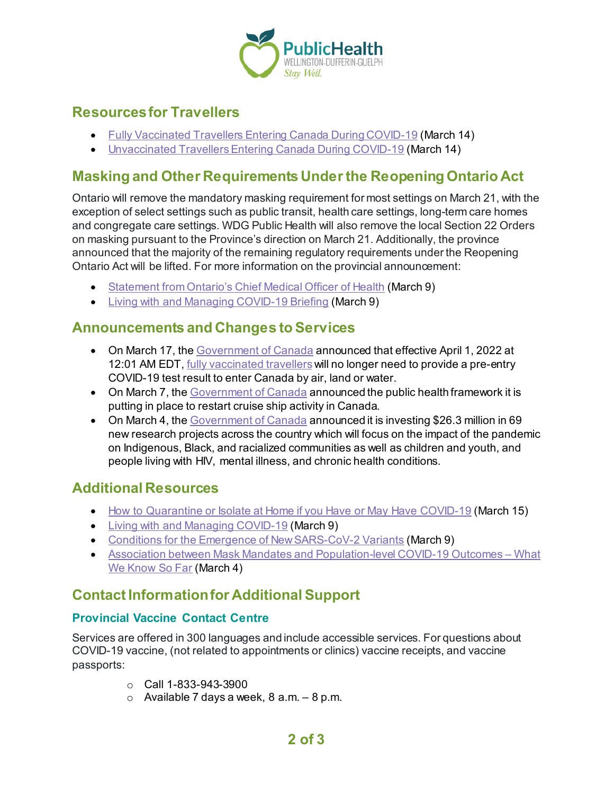

## **Resources for Travellers**

- [Fully Vaccinated Travellers Entering Canada During COVID-19](https://www.canada.ca/en/public-health/services/publications/diseases-conditions/fully-vaccinated-travellers-entering-canada-covid-19.html) (March 14)
- [Unvaccinated Travellers Entering Canada During COVID-19](https://www.canada.ca/en/public-health/services/publications/diseases-conditions/unvaccinated-travellers-entering-canada-covid-19.html) (March 14)

## **Masking and Other Requirements Under the Reopening Ontario Act**

Ontario will remove the mandatory masking requirement for most settings on March 21, with the exception of select settings such as public transit, health care settings, long-term care homes and congregate care settings. WDG Public Health will also remove the local Section 22 Orders on masking pursuant to the Province's direction on March 21. Additionally, the province announced that the majority of the remaining regulatory requirements under the Reopening Ontario Act will be lifted. For more information on the provincial announcement:

- [Statement from Ontario's Chief Medical Officer of Health](https://news.ontario.ca/en/statement/1001732/statement-from-ontarios-chief-medical-officer-of-health) (March 9)
- [Living with and Managing COVID-19 Briefing](https://www.ontario.ca/page/living-and-managing-covid-19-march-9-2022) (March 9)

### **Announcements and Changes to Services**

- On March 17, the [Government of Canada](https://www.canada.ca/en/public-health/news/2022/03/government-of-canada-will-remove-pre-entry-test-requirement-for-fully-vaccinated-travellers-on-april-1.html) announced that effective April 1, 2022 at 12:01 AM EDT, [fully vaccinated travellers](https://travel.gc.ca/travel-covid/travel-restrictions/covid-vaccinated-travellers-entering-canada#determine-fully) will no longer need to provide a pre-entry COVID-19 test result to enter Canada by air, land or water.
- On March 7, the [Government of Canada](https://www.canada.ca/en/transport-canada/news/2022/03/government-of-canada-announces-the-new-public-health-plan-for-cruise-ships.html) announced the public health framework it is putting in place to restart cruise ship activity in Canada.
- On March 4, the [Government of Canada](https://www.canada.ca/en/institutes-health-research/news/2022/03/new-investments-for-covid-19-impact-research-will-support-an-equitable-pandemic-recovery-for-all-canadians.html) announced it is investing \$26.3 million in 69 new research projects across the country which will focus on the impact of the pandemic on Indigenous, Black, and racialized communities as well as children and youth, and people living with HIV, mental illness, and chronic health conditions.

### **Additional Resources**

- [How to Quarantine or Isolate at Home if you Have or May Have COVID-19](https://www.canada.ca/en/public-health/services/diseases/2019-novel-coronavirus-infection/awareness-resources/quarantine-isolate-home.html) (March 15)
- [Living with and Managing COVID-19](https://www.ontario.ca/page/living-and-managing-covid-19-march-9-2022) (March 9)
- [Conditions for the Emergence of New SARS-CoV-2 Variants](https://www.publichealthontario.ca/-/media/Documents/nCoV/voc/2022/03/covid-19-conditions-emergence-new-variants.pdf?sc_lang=en) (March 9)
- [Association between Mask Mandates and Population-level COVID-19 Outcomes –](https://www.publichealthontario.ca/-/media/Documents/nCoV/COVID-WWKSF/2022/03/wwksf-mask-mandates-population-level-outcomes.pdf?sc_lang=en) What [We Know So Far](https://www.publichealthontario.ca/-/media/Documents/nCoV/COVID-WWKSF/2022/03/wwksf-mask-mandates-population-level-outcomes.pdf?sc_lang=en) (March 4)

## **Contact Information for Additional Support**

#### **Provincial Vaccine Contact Centre**

Services are offered in 300 languages and include accessible services. For questions about COVID-19 vaccine, (not related to appointments or clinics) vaccine receipts, and vaccine passports:

- o Call 1-833-943-3900
- $\circ$  Available 7 days a week, 8 a.m.  $-8$  p.m.